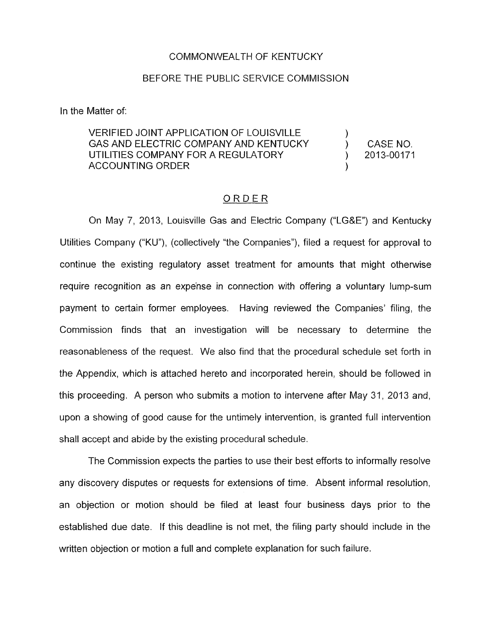#### COMMONWEALTH OF KENTUCKY

#### BEFORE THE PUBLIC SERVICE COMMISSION

In the Matter of:

### VERIFIED JOINT APPLICATION OF LOUISVILLE GAS AND ELECTRIC COMPANY AND KENTUCKY (CASE NO. UTILITIES COMPANY FOR A REGULATORY (2013-00171 **ACCOUNTING ORDER**

)

)

#### ORDER

On May 7, 2013, Louisville Gas and Electric Company ("LG&E") and Kentucky Utilities Company ("KU"), (collectively "the Companies"), filed a request for approval to continue the existing regulatory asset treatment for amounts that might otherwise require recognition as an expense in connection with offering a voluntary lump-sum payment to certain former employees. Having reviewed the Companies' filing, the Commission finds that an investigation will be necessary to determine the reasonableness of the request. We also find that the procedural schedule set forth in the Appendix, which is attached hereto and incorporated herein, should be followed in this proceeding. A person who submits a motion to intervene after May 31, 2013 and, upon a showing of good cause for the untimely intervention, is granted full intervention shall accept and abide by the existing procedural schedule.

The Commission expects the parties to use their best efforts to informally resolve any discovery disputes or requests for extensions of time. Absent informal resolution, an objection or motion should be filed at least four business days prior to the established due date. If this deadline is not met, the filing party should include in the written objection or motion a full and complete explanation for such failure.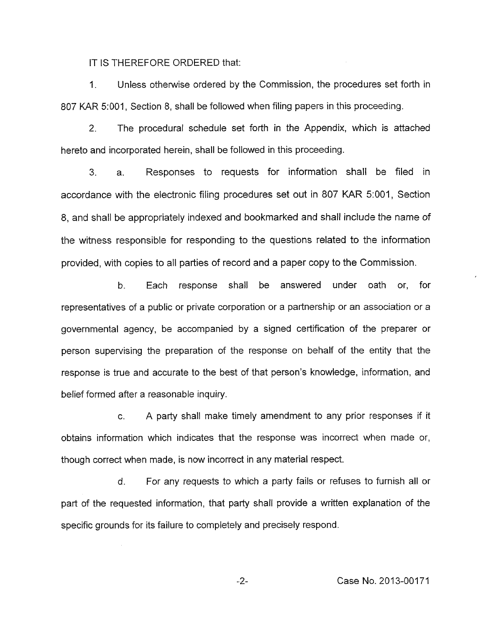IT **IS** THEREFORE ORDERED that:

1. Unless otherwise ordered by the Commission, the procedures set forth in *807* KAR 5:001, Section 8, shall be followed when filing papers in this proceeding.

2. The procedural schedule set forth in the Appendix, which is attached hereto and incorporated herein, shall be followed in this proceeding.

3. a. Responses to requests for information shall be filed in accordance with the electronic filing procedures set out in 807 KAR 5:001, Section *8,* and shall be appropriately indexed and bookmarked and shall include the name of the witness responsible for responding to the questions related to the information provided, with copies to all parties of record and a paper copy to the Commission.

b. Each response shall be answered under oath or, for representatives of a public or private corporation or a partnership or an association or a governmental agency, be accompanied by a signed certification of the preparer or person supervising the preparation of the response on behalf of the entity that the response is true and accurate to the best of that person's knowledge, information, and belief formed after a reasonable inquiry.

c. A party shall make timely amendment to any prior responses if it obtains information which indicates that the response was incorrect when made or, though correct when made, is now incorrect in any material respect.

d. For any requests to which a party fails or refuses to furnish all or part of the requested information, that party shall provide a written explanation of the specific grounds for its failure to completely and precisely respond.

-2- Case **No.** 2013-00171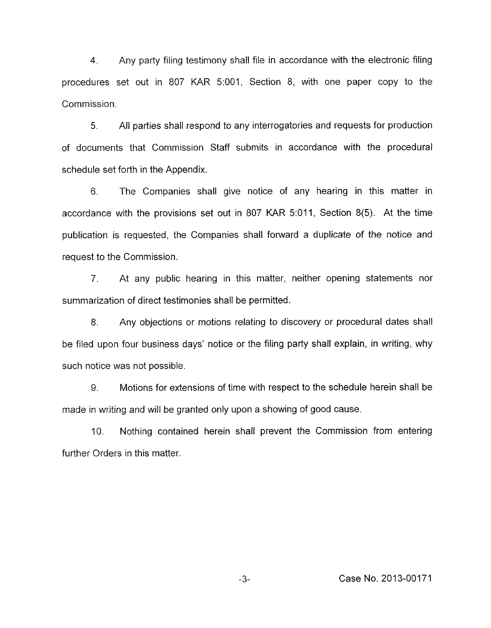**4.** Any party filing testimony shall file in accordance with the electronic filing procedures set out in 807 KAR 5:001, Section 8, with one paper copy to the Commission.

5. All parties shall respond to any interrogatories and requests for production of documents that Commission Staff submits in accordance with the procedural schedule set forth in the Appendix.

6. The Companies shall give notice of any hearing in this matter in accordance with the provisions set out in 807 KAR 5:011, Section 8(5). At the time publication is requested, the Companies shall forward a duplicate of the notice and request to the Commission.

7. At any public hearing in this matter, neither opening statements nor summarization of direct testimonies shall be permitted.

8. Any objections or motions relating to discovery or procedural dates shall be filed upon four business days' notice or the filing party shall explain, in writing, why such notice was not possible.

9. Motions for extensions of time with respect to the schedule herein shall be made in writing and will be granted only upon a showing of good cause.

IO. Nothing contained herein shall prevent the Commission from entering further Orders in this matter.

**-3-** Case No. 2013-00171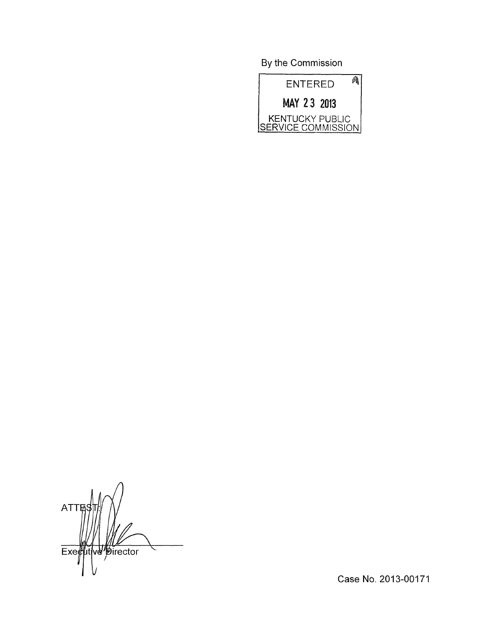By the Commission



**ATT** utive pirector Exe

Case No. 2013-00171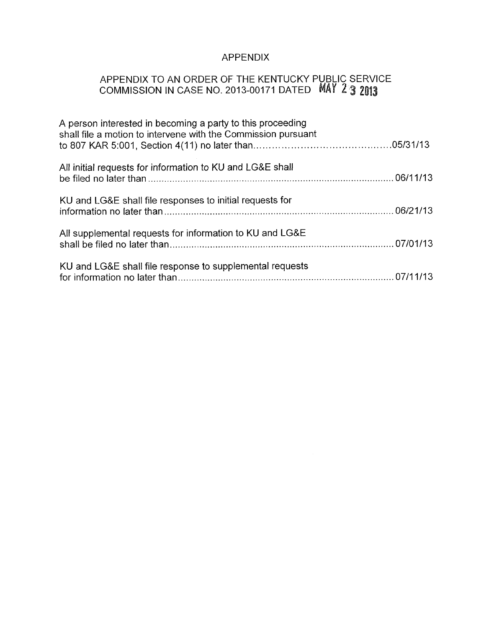# APPENDIX

## APPENDIX TO AN ORDER OF THE KENTUCKY PUBLIC SERVICE COMMISSION IN CASE NO. 2013-00171 DATED

| A person interested in becoming a party to this proceeding<br>shall file a motion to intervene with the Commission pursuant |  |
|-----------------------------------------------------------------------------------------------------------------------------|--|
| All initial requests for information to KU and LG&E shall                                                                   |  |
| KU and LG&E shall file responses to initial requests for                                                                    |  |
| All supplemental requests for information to KU and LG&E                                                                    |  |
| KU and LG&E shall file response to supplemental requests                                                                    |  |